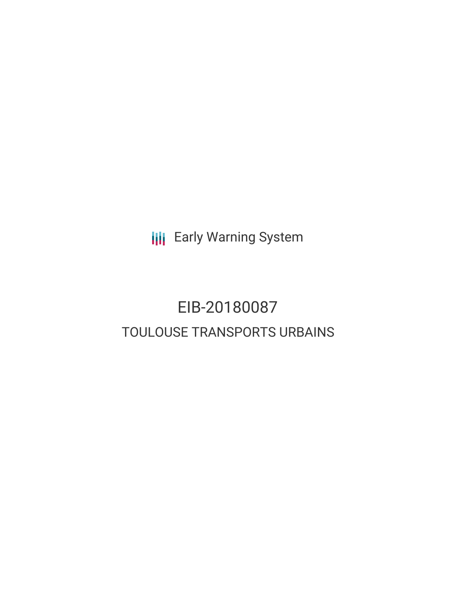**III** Early Warning System

## EIB-20180087 TOULOUSE TRANSPORTS URBAINS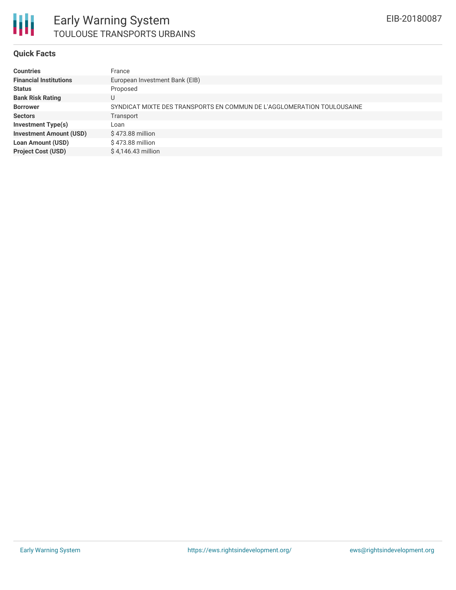

## **Quick Facts**

| <b>Countries</b>               | France                                                                 |
|--------------------------------|------------------------------------------------------------------------|
| <b>Financial Institutions</b>  | European Investment Bank (EIB)                                         |
| <b>Status</b>                  | Proposed                                                               |
| <b>Bank Risk Rating</b>        | U                                                                      |
| <b>Borrower</b>                | SYNDICAT MIXTE DES TRANSPORTS EN COMMUN DE L'AGGLOMERATION TOULOUSAINE |
| <b>Sectors</b>                 | Transport                                                              |
| <b>Investment Type(s)</b>      | Loan                                                                   |
| <b>Investment Amount (USD)</b> | $$473.88$ million                                                      |
| <b>Loan Amount (USD)</b>       | \$473.88 million                                                       |
| <b>Project Cost (USD)</b>      | \$4,146.43 million                                                     |
|                                |                                                                        |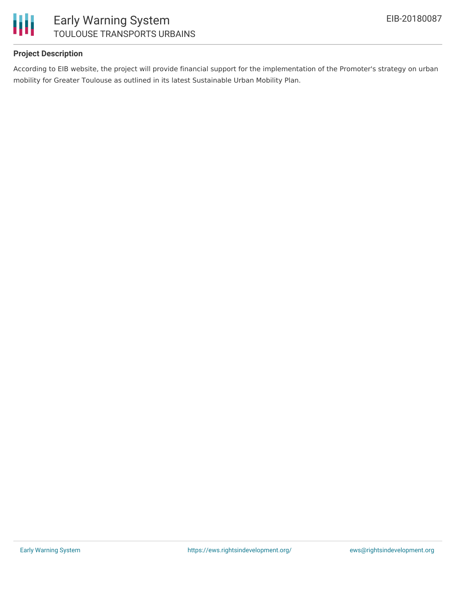

## **Project Description**

According to EIB website, the project will provide financial support for the implementation of the Promoter's strategy on urban mobility for Greater Toulouse as outlined in its latest Sustainable Urban Mobility Plan.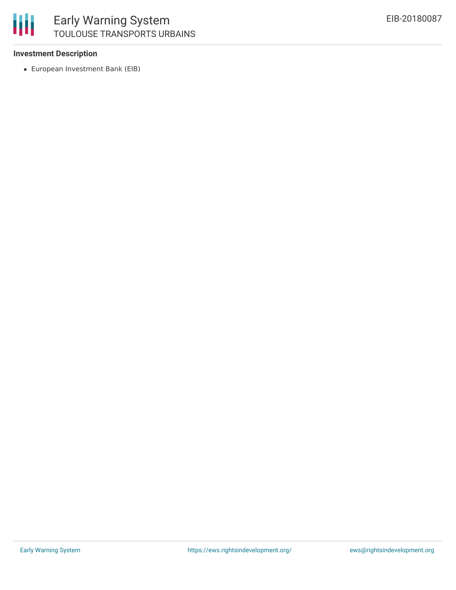## **Investment Description**

European Investment Bank (EIB)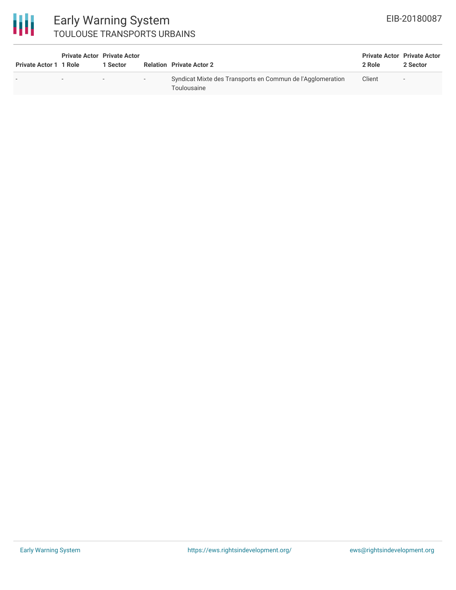# 冊

## Early Warning System TOULOUSE TRANSPORTS URBAINS

| <b>Private Actor 1 1 Role</b> | <b>Private Actor Private Actor</b> | 1 Sector |        | <b>Relation Private Actor 2</b>                                           | <b>Private Actor Private Actor</b><br>2 Role | 2 Sector |
|-------------------------------|------------------------------------|----------|--------|---------------------------------------------------------------------------|----------------------------------------------|----------|
|                               | $\overline{\phantom{0}}$           | $\sim$   | $\sim$ | Syndicat Mixte des Transports en Commun de l'Agglomeration<br>Toulousaine | Client                                       | $\sim$   |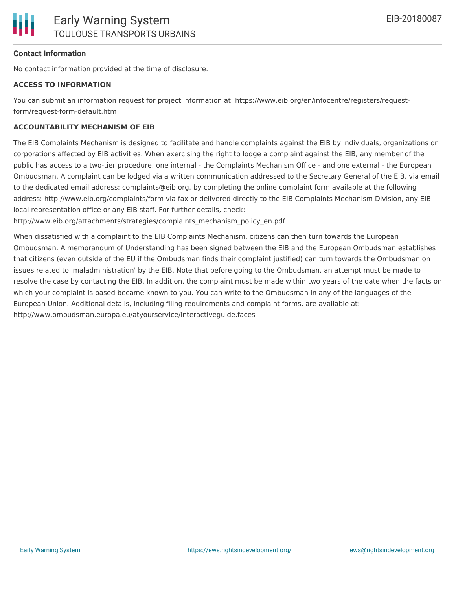

## **Contact Information**

No contact information provided at the time of disclosure.

#### **ACCESS TO INFORMATION**

You can submit an information request for project information at: https://www.eib.org/en/infocentre/registers/requestform/request-form-default.htm

## **ACCOUNTABILITY MECHANISM OF EIB**

The EIB Complaints Mechanism is designed to facilitate and handle complaints against the EIB by individuals, organizations or corporations affected by EIB activities. When exercising the right to lodge a complaint against the EIB, any member of the public has access to a two-tier procedure, one internal - the Complaints Mechanism Office - and one external - the European Ombudsman. A complaint can be lodged via a written communication addressed to the Secretary General of the EIB, via email to the dedicated email address: complaints@eib.org, by completing the online complaint form available at the following address: http://www.eib.org/complaints/form via fax or delivered directly to the EIB Complaints Mechanism Division, any EIB local representation office or any EIB staff. For further details, check:

http://www.eib.org/attachments/strategies/complaints\_mechanism\_policy\_en.pdf

When dissatisfied with a complaint to the EIB Complaints Mechanism, citizens can then turn towards the European Ombudsman. A memorandum of Understanding has been signed between the EIB and the European Ombudsman establishes that citizens (even outside of the EU if the Ombudsman finds their complaint justified) can turn towards the Ombudsman on issues related to 'maladministration' by the EIB. Note that before going to the Ombudsman, an attempt must be made to resolve the case by contacting the EIB. In addition, the complaint must be made within two years of the date when the facts on which your complaint is based became known to you. You can write to the Ombudsman in any of the languages of the European Union. Additional details, including filing requirements and complaint forms, are available at: http://www.ombudsman.europa.eu/atyourservice/interactiveguide.faces